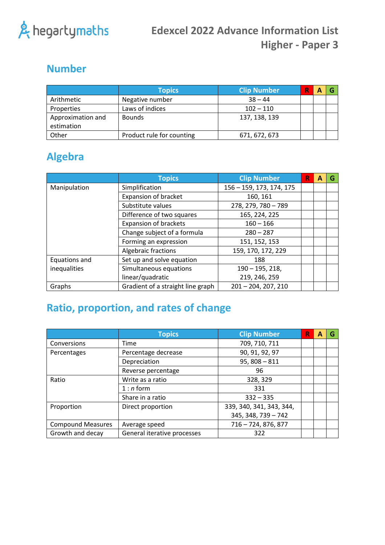

### **Number**

|                                 | <b>Topics</b>             | <b>Clip Number</b> |  |  |
|---------------------------------|---------------------------|--------------------|--|--|
| Arithmetic                      | Negative number           | $38 - 44$          |  |  |
| Properties                      | Laws of indices           | $102 - 110$        |  |  |
| Approximation and<br>estimation | <b>Bounds</b>             | 137, 138, 139      |  |  |
| Other                           | Product rule for counting | 671, 672, 673      |  |  |

## **Algebra**

|               | <b>Topics</b>                     | <b>Clip Number</b>       | R | А | G |
|---------------|-----------------------------------|--------------------------|---|---|---|
| Manipulation  | Simplification                    | 156 - 159, 173, 174, 175 |   |   |   |
|               | <b>Expansion of bracket</b>       | 160, 161                 |   |   |   |
|               | Substitute values                 | 278, 279, 780 - 789      |   |   |   |
|               | Difference of two squares         | 165, 224, 225            |   |   |   |
|               | <b>Expansion of brackets</b>      | $160 - 166$              |   |   |   |
|               | Change subject of a formula       | $280 - 287$              |   |   |   |
|               | Forming an expression             | 151, 152, 153            |   |   |   |
|               | Algebraic fractions               | 159, 170, 172, 229       |   |   |   |
| Equations and | Set up and solve equation         | 188                      |   |   |   |
| inequalities  | Simultaneous equations            | $190 - 195, 218,$        |   |   |   |
|               | linear/quadratic                  | 219, 246, 259            |   |   |   |
| Graphs        | Gradient of a straight line graph | $201 - 204, 207, 210$    |   |   |   |

# **Ratio, proportion, and rates of change**

|                          | <b>Topics</b>               | <b>Clip Number</b>       | R | A | G |
|--------------------------|-----------------------------|--------------------------|---|---|---|
| Conversions              | <b>Time</b>                 | 709, 710, 711            |   |   |   |
| Percentages              | Percentage decrease         | 90, 91, 92, 97           |   |   |   |
|                          | Depreciation                | $95,808 - 811$           |   |   |   |
|                          | Reverse percentage          | 96                       |   |   |   |
| Ratio                    | Write as a ratio            | 328, 329                 |   |   |   |
|                          | $1:n$ form                  | 331                      |   |   |   |
|                          | Share in a ratio            | $332 - 335$              |   |   |   |
| Proportion               | Direct proportion           | 339, 340, 341, 343, 344, |   |   |   |
|                          |                             | 345, 348, 739 - 742      |   |   |   |
| <b>Compound Measures</b> | Average speed               | 716 - 724, 876, 877      |   |   |   |
| Growth and decay         | General iterative processes | 322                      |   |   |   |